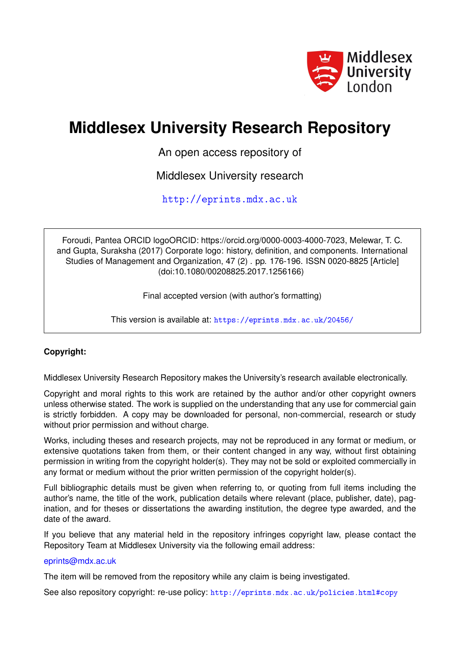

# **Middlesex University Research Repository**

An open access repository of

Middlesex University research

<http://eprints.mdx.ac.uk>

Foroudi, Pantea ORCID logoORCID: https://orcid.org/0000-0003-4000-7023, Melewar, T. C. and Gupta, Suraksha (2017) Corporate logo: history, definition, and components. International Studies of Management and Organization, 47 (2) . pp. 176-196. ISSN 0020-8825 [Article] (doi:10.1080/00208825.2017.1256166)

Final accepted version (with author's formatting)

This version is available at: <https://eprints.mdx.ac.uk/20456/>

# **Copyright:**

Middlesex University Research Repository makes the University's research available electronically.

Copyright and moral rights to this work are retained by the author and/or other copyright owners unless otherwise stated. The work is supplied on the understanding that any use for commercial gain is strictly forbidden. A copy may be downloaded for personal, non-commercial, research or study without prior permission and without charge.

Works, including theses and research projects, may not be reproduced in any format or medium, or extensive quotations taken from them, or their content changed in any way, without first obtaining permission in writing from the copyright holder(s). They may not be sold or exploited commercially in any format or medium without the prior written permission of the copyright holder(s).

Full bibliographic details must be given when referring to, or quoting from full items including the author's name, the title of the work, publication details where relevant (place, publisher, date), pagination, and for theses or dissertations the awarding institution, the degree type awarded, and the date of the award.

If you believe that any material held in the repository infringes copyright law, please contact the Repository Team at Middlesex University via the following email address:

### [eprints@mdx.ac.uk](mailto:eprints@mdx.ac.uk)

The item will be removed from the repository while any claim is being investigated.

See also repository copyright: re-use policy: <http://eprints.mdx.ac.uk/policies.html#copy>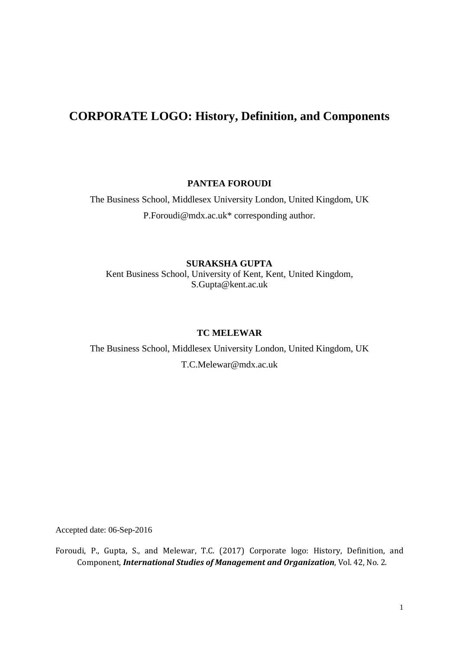# **CORPORATE LOGO: History, Definition, and Components**

**PANTEA FOROUDI**

The Business School, Middlesex University London, United Kingdom, UK P.Foroudi@mdx.ac.uk\* corresponding author.

**SURAKSHA GUPTA** Kent Business School, University of Kent, Kent, United Kingdom, S.Gupta@kent.ac.uk

### **TC MELEWAR**

The Business School, Middlesex University London, United Kingdom, UK T.C.Melewar@mdx.ac.uk

Accepted date: 06-Sep-2016

Foroudi, P., Gupta, S., and Melewar, T.C. (2017) Corporate logo: History, Definition, and Component, *International Studies of Management and Organization*, Vol. 42, No. 2.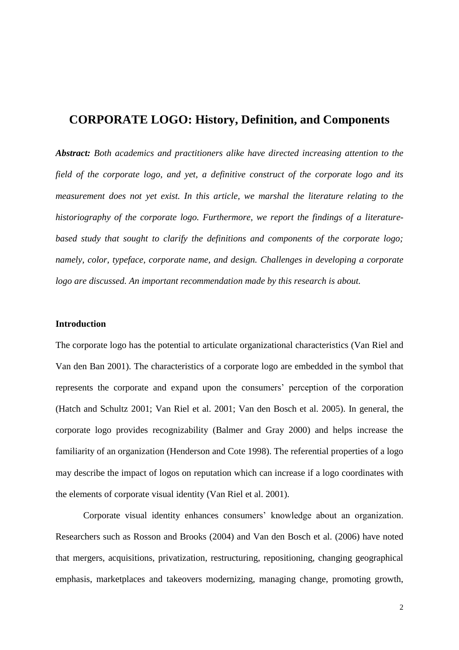# **CORPORATE LOGO: History, Definition, and Components**

*Abstract: Both academics and practitioners alike have directed increasing attention to the field of the corporate logo, and yet, a definitive construct of the corporate logo and its measurement does not yet exist. In this article, we marshal the literature relating to the historiography of the corporate logo. Furthermore, we report the findings of a literaturebased study that sought to clarify the definitions and components of the corporate logo; namely, color, typeface, corporate name, and design. Challenges in developing a corporate logo are discussed. An important recommendation made by this research is about.*

#### **Introduction**

The corporate logo has the potential to articulate organizational characteristics (Van Riel and Van den Ban 2001). The characteristics of a corporate logo are embedded in the symbol that represents the corporate and expand upon the consumers' perception of the corporation (Hatch and Schultz 2001; Van Riel et al. 2001; Van den Bosch et al. 2005). In general, the corporate logo provides recognizability (Balmer and Gray 2000) and helps increase the familiarity of an organization (Henderson and Cote 1998). The referential properties of a logo may describe the impact of logos on reputation which can increase if a logo coordinates with the elements of corporate visual identity (Van Riel et al. 2001).

Corporate visual identity enhances consumers' knowledge about an organization. Researchers such as Rosson and Brooks (2004) and Van den Bosch et al. (2006) have noted that mergers, acquisitions, privatization, restructuring, repositioning, changing geographical emphasis, marketplaces and takeovers modernizing, managing change, promoting growth,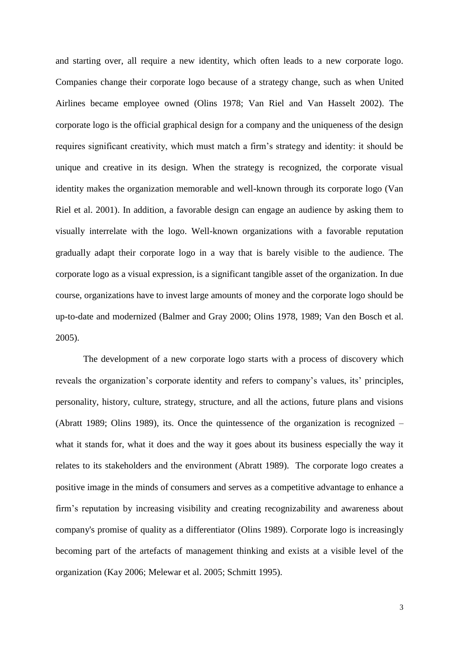and starting over, all require a new identity, which often leads to a new corporate logo. Companies change their corporate logo because of a strategy change, such as when United Airlines became employee owned (Olins 1978; Van Riel and Van Hasselt 2002). The corporate logo is the official graphical design for a company and the uniqueness of the design requires significant creativity, which must match a firm's strategy and identity: it should be unique and creative in its design. When the strategy is recognized, the corporate visual identity makes the organization memorable and well-known through its corporate logo (Van Riel et al. 2001). In addition, a favorable design can engage an audience by asking them to visually interrelate with the logo. Well-known organizations with a favorable reputation gradually adapt their corporate logo in a way that is barely visible to the audience. The corporate logo as a visual expression, is a significant tangible asset of the organization. In due course, organizations have to invest large amounts of money and the corporate logo should be up-to-date and modernized (Balmer and Gray 2000; Olins 1978, 1989; Van den Bosch et al. 2005).

The development of a new corporate logo starts with a process of discovery which reveals the organization's corporate identity and refers to company's values, its' principles, personality, history, culture, strategy, structure, and all the actions, future plans and visions (Abratt 1989; Olins 1989), its. Once the quintessence of the organization is recognized – what it stands for, what it does and the way it goes about its business especially the way it relates to its stakeholders and the environment (Abratt 1989). The corporate logo creates a positive image in the minds of consumers and serves as a competitive advantage to enhance a firm's reputation by increasing visibility and creating recognizability and awareness about company's promise of quality as a differentiator (Olins 1989). Corporate logo is increasingly becoming part of the artefacts of management thinking and exists at a visible level of the organization (Kay 2006; Melewar et al. 2005; Schmitt 1995).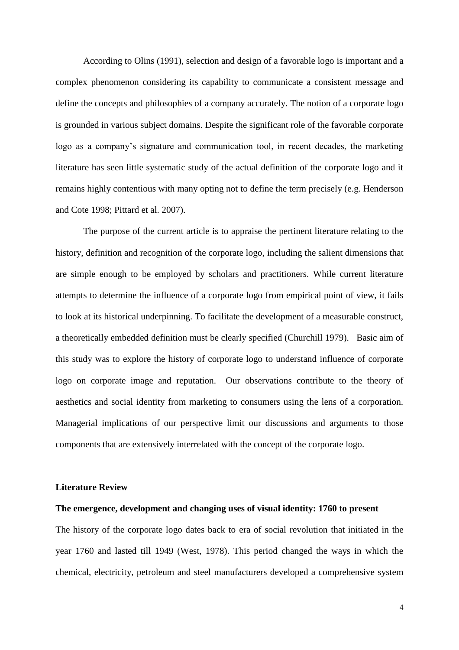According to Olins (1991), selection and design of a favorable logo is important and a complex phenomenon considering its capability to communicate a consistent message and define the concepts and philosophies of a company accurately. The notion of a corporate logo is grounded in various subject domains. Despite the significant role of the favorable corporate logo as a company's signature and communication tool, in recent decades, the marketing literature has seen little systematic study of the actual definition of the corporate logo and it remains highly contentious with many opting not to define the term precisely (e.g. Henderson and Cote 1998; Pittard et al. 2007).

The purpose of the current article is to appraise the pertinent literature relating to the history, definition and recognition of the corporate logo, including the salient dimensions that are simple enough to be employed by scholars and practitioners. While current literature attempts to determine the influence of a corporate logo from empirical point of view, it fails to look at its historical underpinning. To facilitate the development of a measurable construct, a theoretically embedded definition must be clearly specified (Churchill 1979). Basic aim of this study was to explore the history of corporate logo to understand influence of corporate logo on corporate image and reputation. Our observations contribute to the theory of aesthetics and social identity from marketing to consumers using the lens of a corporation. Managerial implications of our perspective limit our discussions and arguments to those components that are extensively interrelated with the concept of the corporate logo.

#### **Literature Review**

### **The emergence, development and changing uses of visual identity: 1760 to present**

The history of the corporate logo dates back to era of social revolution that initiated in the year 1760 and lasted till 1949 (West, 1978). This period changed the ways in which the chemical, electricity, petroleum and steel manufacturers developed a comprehensive system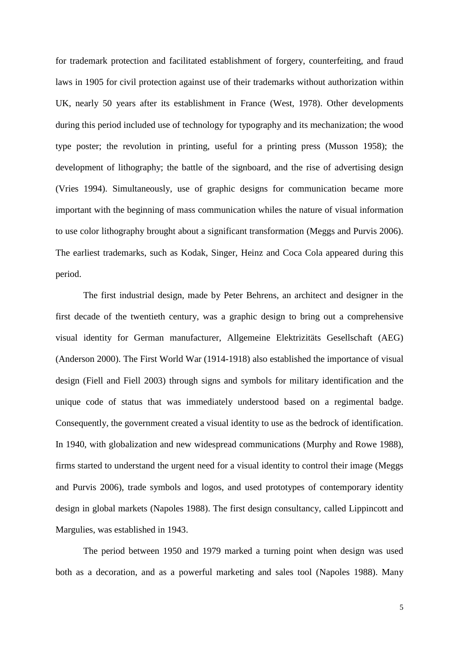for trademark protection and facilitated establishment of forgery, counterfeiting, and fraud laws in 1905 for civil protection against use of their trademarks without authorization within UK, nearly 50 years after its establishment in France (West, 1978). Other developments during this period included use of technology for typography and its mechanization; the wood type poster; the revolution in printing, useful for a printing press (Musson 1958); the development of lithography; the battle of the signboard, and the rise of advertising design (Vries 1994). Simultaneously, use of graphic designs for communication became more important with the beginning of mass communication whiles the nature of visual information to use color lithography brought about a significant transformation (Meggs and Purvis 2006). The earliest trademarks, such as Kodak, Singer, Heinz and Coca Cola appeared during this period.

The first industrial design, made by Peter Behrens, an architect and designer in the first decade of the twentieth century, was a graphic design to bring out a comprehensive visual identity for German manufacturer, Allgemeine Elektrizitäts Gesellschaft (AEG) (Anderson 2000). The First World War (1914-1918) also established the importance of visual design (Fiell and Fiell 2003) through signs and symbols for military identification and the unique code of status that was immediately understood based on a regimental badge. Consequently, the government created a visual identity to use as the bedrock of identification. In 1940, with globalization and new widespread communications (Murphy and Rowe 1988), firms started to understand the urgent need for a visual identity to control their image (Meggs and Purvis 2006), trade symbols and logos, and used prototypes of contemporary identity design in global markets (Napoles 1988). The first design consultancy, called Lippincott and Margulies, was established in 1943.

The period between 1950 and 1979 marked a turning point when design was used both as a decoration, and as a powerful marketing and sales tool (Napoles 1988). Many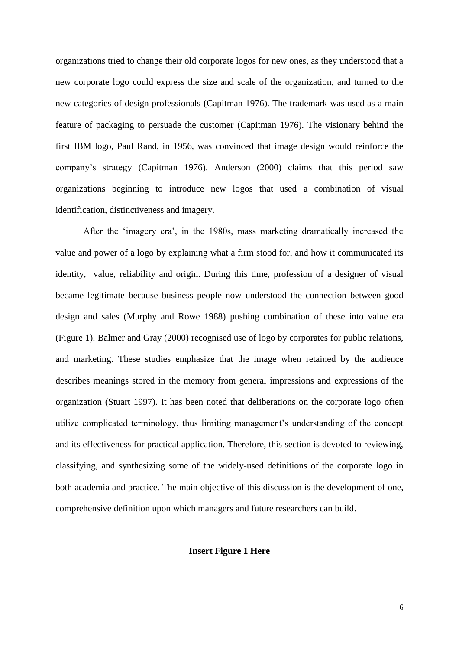organizations tried to change their old corporate logos for new ones, as they understood that a new corporate logo could express the size and scale of the organization, and turned to the new categories of design professionals (Capitman 1976). The trademark was used as a main feature of packaging to persuade the customer (Capitman 1976). The visionary behind the first IBM logo, Paul Rand, in 1956, was convinced that image design would reinforce the company's strategy (Capitman 1976). Anderson (2000) claims that this period saw organizations beginning to introduce new logos that used a combination of visual identification, distinctiveness and imagery.

After the 'imagery era', in the 1980s, mass marketing dramatically increased the value and power of a logo by explaining what a firm stood for, and how it communicated its identity, value, reliability and origin. During this time, profession of a designer of visual became legitimate because business people now understood the connection between good design and sales (Murphy and Rowe 1988) pushing combination of these into value era (Figure 1). Balmer and Gray (2000) recognised use of logo by corporates for public relations, and marketing. These studies emphasize that the image when retained by the audience describes meanings stored in the memory from general impressions and expressions of the organization (Stuart 1997). It has been noted that deliberations on the corporate logo often utilize complicated terminology, thus limiting management's understanding of the concept and its effectiveness for practical application. Therefore, this section is devoted to reviewing, classifying, and synthesizing some of the widely-used definitions of the corporate logo in both academia and practice. The main objective of this discussion is the development of one, comprehensive definition upon which managers and future researchers can build.

### **Insert Figure 1 Here**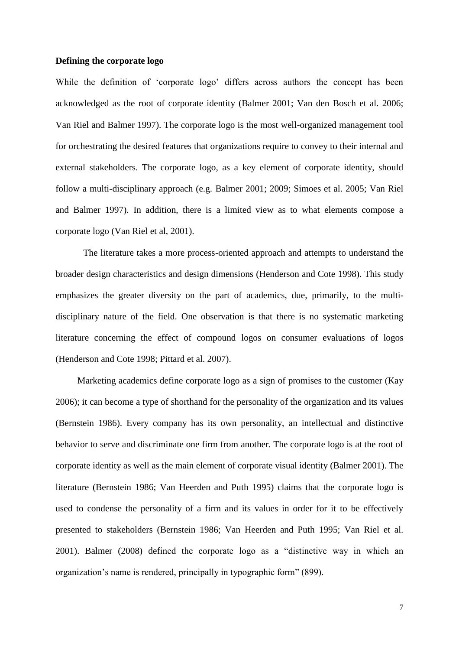#### **Defining the corporate logo**

While the definition of 'corporate logo' differs across authors the concept has been acknowledged as the root of corporate identity (Balmer 2001; Van den Bosch et al. 2006; Van Riel and Balmer 1997). The corporate logo is the most well-organized management tool for orchestrating the desired features that organizations require to convey to their internal and external stakeholders. The corporate logo, as a key element of corporate identity, should follow a multi-disciplinary approach (e.g. Balmer 2001; 2009; Simoes et al. 2005; Van Riel and Balmer 1997). In addition, there is a limited view as to what elements compose a corporate logo (Van Riel et al, 2001).

The literature takes a more process-oriented approach and attempts to understand the broader design characteristics and design dimensions (Henderson and Cote 1998). This study emphasizes the greater diversity on the part of academics, due, primarily, to the multidisciplinary nature of the field. One observation is that there is no systematic marketing literature concerning the effect of compound logos on consumer evaluations of logos (Henderson and Cote 1998; Pittard et al. 2007).

Marketing academics define corporate logo as a sign of promises to the customer (Kay 2006); it can become a type of shorthand for the personality of the organization and its values (Bernstein 1986). Every company has its own personality, an intellectual and distinctive behavior to serve and discriminate one firm from another. The corporate logo is at the root of corporate identity as well as the main element of corporate visual identity (Balmer 2001). The literature (Bernstein 1986; Van Heerden and Puth 1995) claims that the corporate logo is used to condense the personality of a firm and its values in order for it to be effectively presented to stakeholders (Bernstein 1986; Van Heerden and Puth 1995; Van Riel et al. 2001). Balmer (2008) defined the corporate logo as a "distinctive way in which an organization's name is rendered, principally in typographic form" (899).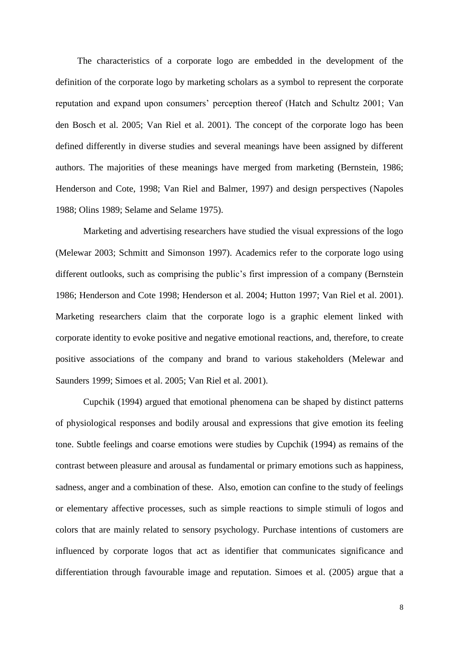The characteristics of a corporate logo are embedded in the development of the definition of the corporate logo by marketing scholars as a symbol to represent the corporate reputation and expand upon consumers' perception thereof (Hatch and Schultz 2001; Van den Bosch et al. 2005; Van Riel et al. 2001). The concept of the corporate logo has been defined differently in diverse studies and several meanings have been assigned by different authors. The majorities of these meanings have merged from marketing (Bernstein, 1986; Henderson and Cote, 1998; Van Riel and Balmer, 1997) and design perspectives (Napoles 1988; Olins 1989; Selame and Selame 1975).

Marketing and advertising researchers have studied the visual expressions of the logo (Melewar 2003; Schmitt and Simonson 1997). Academics refer to the corporate logo using different outlooks, such as comprising the public's first impression of a company (Bernstein 1986; Henderson and Cote 1998; Henderson et al. 2004; Hutton 1997; Van Riel et al. 2001). Marketing researchers claim that the corporate logo is a graphic element linked with corporate identity to evoke positive and negative emotional reactions, and, therefore, to create positive associations of the company and brand to various stakeholders (Melewar and Saunders 1999; Simoes et al. 2005; Van Riel et al. 2001).

Cupchik (1994) argued that emotional phenomena can be shaped by distinct patterns of physiological responses and bodily arousal and expressions that give emotion its feeling tone. Subtle feelings and coarse emotions were studies by Cupchik (1994) as remains of the contrast between pleasure and arousal as fundamental or primary emotions such as happiness, sadness, anger and a combination of these. Also, emotion can confine to the study of feelings or elementary affective processes, such as simple reactions to simple stimuli of logos and colors that are mainly related to sensory psychology. Purchase intentions of customers are influenced by corporate logos that act as identifier that communicates significance and differentiation through favourable image and reputation. Simoes et al. (2005) argue that a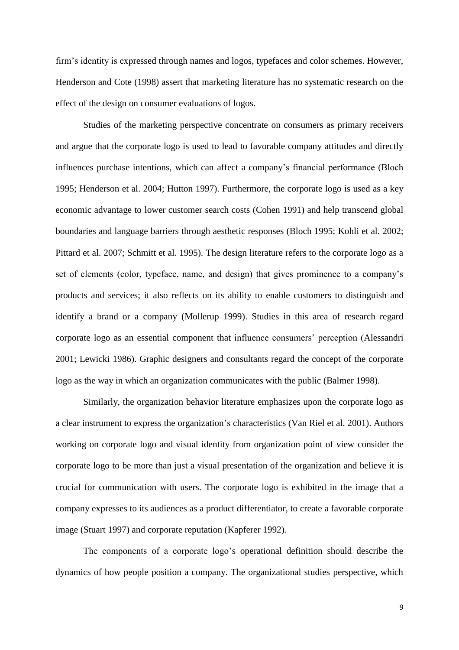firm's identity is expressed through names and logos, typefaces and color schemes. However, Henderson and Cote (1998) assert that marketing literature has no systematic research on the effect of the design on consumer evaluations of logos.

Studies of the marketing perspective concentrate on consumers as primary receivers and argue that the corporate logo is used to lead to favorable company attitudes and directly influences purchase intentions, which can affect a company's financial performance (Bloch 1995; Henderson et al. 2004; Hutton 1997). Furthermore, the corporate logo is used as a key economic advantage to lower customer search costs (Cohen 1991) and help transcend global boundaries and language barriers through aesthetic responses (Bloch 1995; Kohli et al. 2002; Pittard et al. 2007; Schmitt et al. 1995). The design literature refers to the corporate logo as a set of elements (color, typeface, name, and design) that gives prominence to a company's products and services; it also reflects on its ability to enable customers to distinguish and identify a brand or a company (Mollerup 1999). Studies in this area of research regard corporate logo as an essential component that influence consumers' perception (Alessandri 2001; Lewicki 1986). Graphic designers and consultants regard the concept of the corporate logo as the way in which an organization communicates with the public (Balmer 1998).

Similarly, the organization behavior literature emphasizes upon the corporate logo as a clear instrument to express the organization's characteristics (Van Riel et al. 2001). Authors working on corporate logo and visual identity from organization point of view consider the corporate logo to be more than just a visual presentation of the organization and believe it is crucial for communication with users. The corporate logo is exhibited in the image that a company expresses to its audiences as a product differentiator, to create a favorable corporate image (Stuart 1997) and corporate reputation (Kapferer 1992).

The components of a corporate logo's operational definition should describe the dynamics of how people position a company. The organizational studies perspective, which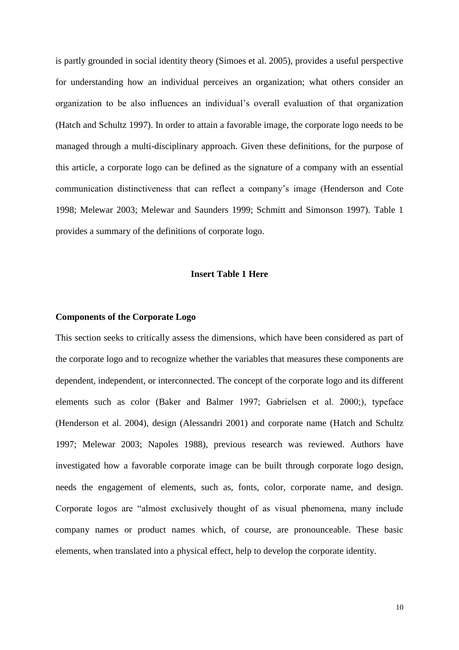is partly grounded in social identity theory (Simoes et al. 2005), provides a useful perspective for understanding how an individual perceives an organization; what others consider an organization to be also influences an individual's overall evaluation of that organization (Hatch and Schultz 1997). In order to attain a favorable image, the corporate logo needs to be managed through a multi-disciplinary approach. Given these definitions, for the purpose of this article, a corporate logo can be defined as the signature of a company with an essential communication distinctiveness that can reflect a company's image (Henderson and Cote 1998; Melewar 2003; Melewar and Saunders 1999; Schmitt and Simonson 1997). Table 1 provides a summary of the definitions of corporate logo.

# **Insert Table 1 Here**

#### **Components of the Corporate Logo**

This section seeks to critically assess the dimensions, which have been considered as part of the corporate logo and to recognize whether the variables that measures these components are dependent, independent, or interconnected. The concept of the corporate logo and its different elements such as color (Baker and Balmer 1997; Gabrielsen et al. 2000;), typeface (Henderson et al. 2004), design (Alessandri 2001) and corporate name (Hatch and Schultz 1997; Melewar 2003; Napoles 1988), previous research was reviewed. Authors have investigated how a favorable corporate image can be built through corporate logo design, needs the engagement of elements, such as, fonts, color, corporate name, and design. Corporate logos are "almost exclusively thought of as visual phenomena, many include company names or product names which, of course, are pronounceable. These basic elements, when translated into a physical effect, help to develop the corporate identity.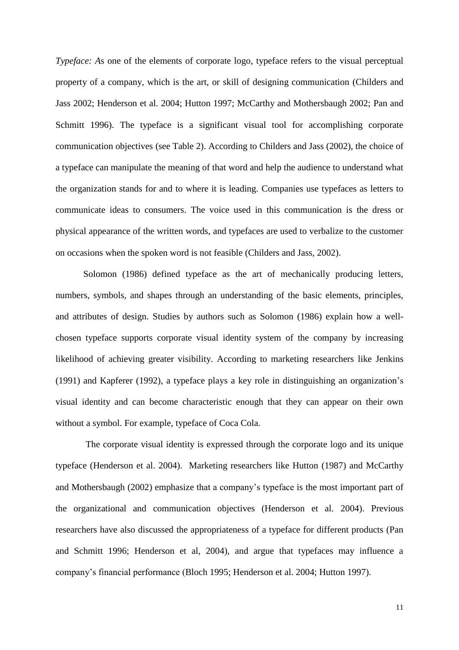*Typeface:* As one of the elements of corporate logo, typeface refers to the visual perceptual property of a company, which is the art, or skill of designing communication (Childers and Jass 2002; Henderson et al. 2004; Hutton 1997; McCarthy and Mothersbaugh 2002; Pan and Schmitt 1996). The typeface is a significant visual tool for accomplishing corporate communication objectives (see Table 2). According to Childers and Jass (2002), the choice of a typeface can manipulate the meaning of that word and help the audience to understand what the organization stands for and to where it is leading. Companies use typefaces as letters to communicate ideas to consumers. The voice used in this communication is the dress or physical appearance of the written words, and typefaces are used to verbalize to the customer on occasions when the spoken word is not feasible (Childers and Jass, 2002).

Solomon (1986) defined typeface as the art of mechanically producing letters, numbers, symbols, and shapes through an understanding of the basic elements, principles, and attributes of design. Studies by authors such as Solomon (1986) explain how a wellchosen typeface supports corporate visual identity system of the company by increasing likelihood of achieving greater visibility. According to marketing researchers like Jenkins (1991) and Kapferer (1992), a typeface plays a key role in distinguishing an organization's visual identity and can become characteristic enough that they can appear on their own without a symbol. For example, typeface of Coca Cola.

The corporate visual identity is expressed through the corporate logo and its unique typeface (Henderson et al. 2004). Marketing researchers like Hutton (1987) and McCarthy and Mothersbaugh (2002) emphasize that a company's typeface is the most important part of the organizational and communication objectives (Henderson et al. 2004). Previous researchers have also discussed the appropriateness of a typeface for different products (Pan and Schmitt 1996; Henderson et al, 2004), and argue that typefaces may influence a company's financial performance (Bloch 1995; Henderson et al. 2004; Hutton 1997).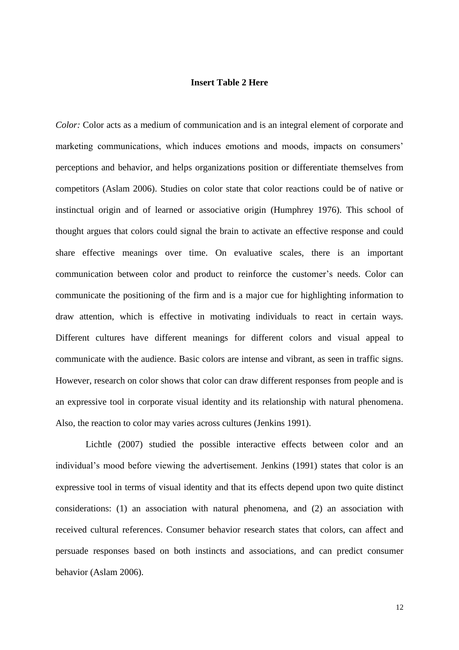#### **Insert Table 2 Here**

*Color:* Color acts as a medium of communication and is an integral element of corporate and marketing communications, which induces emotions and moods, impacts on consumers' perceptions and behavior, and helps organizations position or differentiate themselves from competitors (Aslam 2006). Studies on color state that color reactions could be of native or instinctual origin and of learned or associative origin (Humphrey 1976). This school of thought argues that colors could signal the brain to activate an effective response and could share effective meanings over time. On evaluative scales, there is an important communication between color and product to reinforce the customer's needs. Color can communicate the positioning of the firm and is a major cue for highlighting information to draw attention, which is effective in motivating individuals to react in certain ways. Different cultures have different meanings for different colors and visual appeal to communicate with the audience. Basic colors are intense and vibrant, as seen in traffic signs. However, research on color shows that color can draw different responses from people and is an expressive tool in corporate visual identity and its relationship with natural phenomena. Also, the reaction to color may varies across cultures (Jenkins 1991).

Lichtle (2007) studied the possible interactive effects between color and an individual's mood before viewing the advertisement. Jenkins (1991) states that color is an expressive tool in terms of visual identity and that its effects depend upon two quite distinct considerations: (1) an association with natural phenomena, and (2) an association with received cultural references. Consumer behavior research states that colors, can affect and persuade responses based on both instincts and associations, and can predict consumer behavior (Aslam 2006).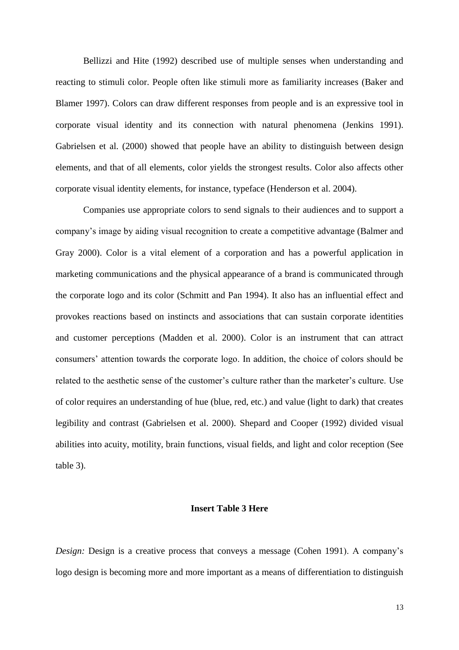Bellizzi and Hite (1992) described use of multiple senses when understanding and reacting to stimuli color. People often like stimuli more as familiarity increases (Baker and Blamer 1997). Colors can draw different responses from people and is an expressive tool in corporate visual identity and its connection with natural phenomena (Jenkins 1991). Gabrielsen et al. (2000) showed that people have an ability to distinguish between design elements, and that of all elements, color yields the strongest results. Color also affects other corporate visual identity elements, for instance, typeface (Henderson et al. 2004).

Companies use appropriate colors to send signals to their audiences and to support a company's image by aiding visual recognition to create a competitive advantage (Balmer and Gray 2000). Color is a vital element of a corporation and has a powerful application in marketing communications and the physical appearance of a brand is communicated through the corporate logo and its color (Schmitt and Pan 1994). It also has an influential effect and provokes reactions based on instincts and associations that can sustain corporate identities and customer perceptions (Madden et al. 2000). Color is an instrument that can attract consumers' attention towards the corporate logo. In addition, the choice of colors should be related to the aesthetic sense of the customer's culture rather than the marketer's culture. Use of color requires an understanding of hue (blue, red, etc.) and value (light to dark) that creates legibility and contrast (Gabrielsen et al. 2000). Shepard and Cooper (1992) divided visual abilities into acuity, motility, brain functions, visual fields, and light and color reception (See table 3).

#### **Insert Table 3 Here**

*Design:* Design is a creative process that conveys a message (Cohen 1991). A company's logo design is becoming more and more important as a means of differentiation to distinguish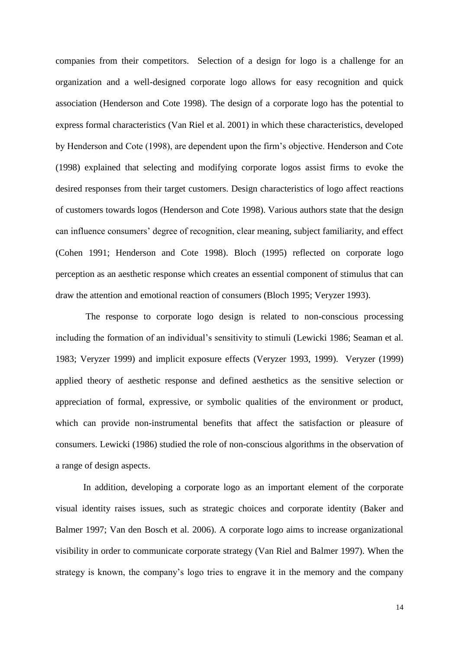companies from their competitors. Selection of a design for logo is a challenge for an organization and a well-designed corporate logo allows for easy recognition and quick association (Henderson and Cote 1998). The design of a corporate logo has the potential to express formal characteristics (Van Riel et al. 2001) in which these characteristics, developed by Henderson and Cote (1998), are dependent upon the firm's objective. Henderson and Cote (1998) explained that selecting and modifying corporate logos assist firms to evoke the desired responses from their target customers. Design characteristics of logo affect reactions of customers towards logos (Henderson and Cote 1998). Various authors state that the design can influence consumers' degree of recognition, clear meaning, subject familiarity, and effect (Cohen 1991; Henderson and Cote 1998). Bloch (1995) reflected on corporate logo perception as an aesthetic response which creates an essential component of stimulus that can draw the attention and emotional reaction of consumers (Bloch 1995; Veryzer 1993).

The response to corporate logo design is related to non-conscious processing including the formation of an individual's sensitivity to stimuli (Lewicki 1986; Seaman et al. 1983; Veryzer 1999) and implicit exposure effects (Veryzer 1993, 1999). Veryzer (1999) applied theory of aesthetic response and defined aesthetics as the sensitive selection or appreciation of formal, expressive, or symbolic qualities of the environment or product, which can provide non-instrumental benefits that affect the satisfaction or pleasure of consumers. Lewicki (1986) studied the role of non-conscious algorithms in the observation of a range of design aspects.

In addition, developing a corporate logo as an important element of the corporate visual identity raises issues, such as strategic choices and corporate identity (Baker and Balmer 1997; Van den Bosch et al. 2006). A corporate logo aims to increase organizational visibility in order to communicate corporate strategy (Van Riel and Balmer 1997). When the strategy is known, the company's logo tries to engrave it in the memory and the company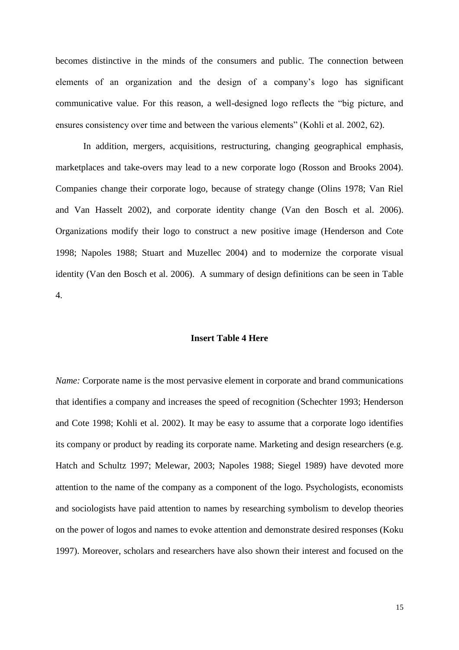becomes distinctive in the minds of the consumers and public. The connection between elements of an organization and the design of a company's logo has significant communicative value. For this reason, a well-designed logo reflects the "big picture, and ensures consistency over time and between the various elements" (Kohli et al. 2002, 62).

In addition, mergers, acquisitions, restructuring, changing geographical emphasis, marketplaces and take-overs may lead to a new corporate logo (Rosson and Brooks 2004). Companies change their corporate logo, because of strategy change (Olins 1978; Van Riel and Van Hasselt 2002), and corporate identity change (Van den Bosch et al. 2006). Organizations modify their logo to construct a new positive image (Henderson and Cote 1998; Napoles 1988; Stuart and Muzellec 2004) and to modernize the corporate visual identity (Van den Bosch et al. 2006). A summary of design definitions can be seen in Table 4.

#### **Insert Table 4 Here**

*Name:* Corporate name is the most pervasive element in corporate and brand communications that identifies a company and increases the speed of recognition (Schechter 1993; Henderson and Cote 1998; Kohli et al. 2002). It may be easy to assume that a corporate logo identifies its company or product by reading its corporate name. Marketing and design researchers (e.g. Hatch and Schultz 1997; Melewar, 2003; Napoles 1988; Siegel 1989) have devoted more attention to the name of the company as a component of the logo. Psychologists, economists and sociologists have paid attention to names by researching symbolism to develop theories on the power of logos and names to evoke attention and demonstrate desired responses (Koku 1997). Moreover, scholars and researchers have also shown their interest and focused on the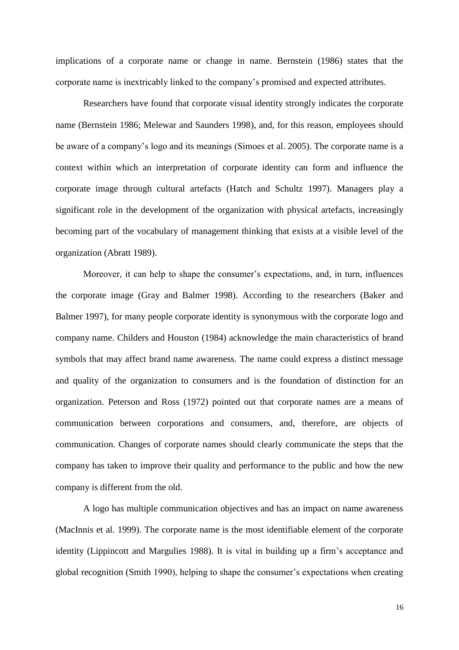implications of a corporate name or change in name. Bernstein (1986) states that the corporate name is inextricably linked to the company's promised and expected attributes.

Researchers have found that corporate visual identity strongly indicates the corporate name (Bernstein 1986; Melewar and Saunders 1998), and, for this reason, employees should be aware of a company's logo and its meanings (Simoes et al. 2005). The corporate name is a context within which an interpretation of corporate identity can form and influence the corporate image through cultural artefacts (Hatch and Schultz 1997). Managers play a significant role in the development of the organization with physical artefacts, increasingly becoming part of the vocabulary of management thinking that exists at a visible level of the organization (Abratt 1989).

Moreover, it can help to shape the consumer's expectations, and, in turn, influences the corporate image (Gray and Balmer 1998). According to the researchers (Baker and Balmer 1997), for many people corporate identity is synonymous with the corporate logo and company name. Childers and Houston (1984) acknowledge the main characteristics of brand symbols that may affect brand name awareness. The name could express a distinct message and quality of the organization to consumers and is the foundation of distinction for an organization. Peterson and Ross (1972) pointed out that corporate names are a means of communication between corporations and consumers, and, therefore, are objects of communication. Changes of corporate names should clearly communicate the steps that the company has taken to improve their quality and performance to the public and how the new company is different from the old.

A logo has multiple communication objectives and has an impact on name awareness (MacInnis et al. 1999). The corporate name is the most identifiable element of the corporate identity (Lippincott and Margulies 1988). It is vital in building up a firm's acceptance and global recognition (Smith 1990), helping to shape the consumer's expectations when creating

16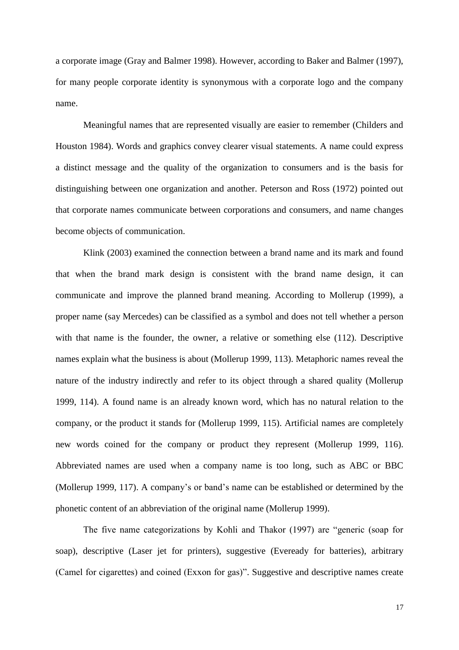a corporate image (Gray and Balmer 1998). However, according to Baker and Balmer (1997), for many people corporate identity is synonymous with a corporate logo and the company name.

Meaningful names that are represented visually are easier to remember (Childers and Houston 1984). Words and graphics convey clearer visual statements. A name could express a distinct message and the quality of the organization to consumers and is the basis for distinguishing between one organization and another. Peterson and Ross (1972) pointed out that corporate names communicate between corporations and consumers, and name changes become objects of communication.

Klink (2003) examined the connection between a brand name and its mark and found that when the brand mark design is consistent with the brand name design, it can communicate and improve the planned brand meaning. According to Mollerup (1999), a proper name (say Mercedes) can be classified as a symbol and does not tell whether a person with that name is the founder, the owner, a relative or something else (112). Descriptive names explain what the business is about (Mollerup 1999, 113). Metaphoric names reveal the nature of the industry indirectly and refer to its object through a shared quality (Mollerup 1999, 114). A found name is an already known word, which has no natural relation to the company, or the product it stands for (Mollerup 1999, 115). Artificial names are completely new words coined for the company or product they represent (Mollerup 1999, 116). Abbreviated names are used when a company name is too long, such as ABC or BBC (Mollerup 1999, 117). A company's or band's name can be established or determined by the phonetic content of an abbreviation of the original name (Mollerup 1999).

The five name categorizations by Kohli and Thakor (1997) are "generic (soap for soap), descriptive (Laser jet for printers), suggestive (Eveready for batteries), arbitrary (Camel for cigarettes) and coined (Exxon for gas)". Suggestive and descriptive names create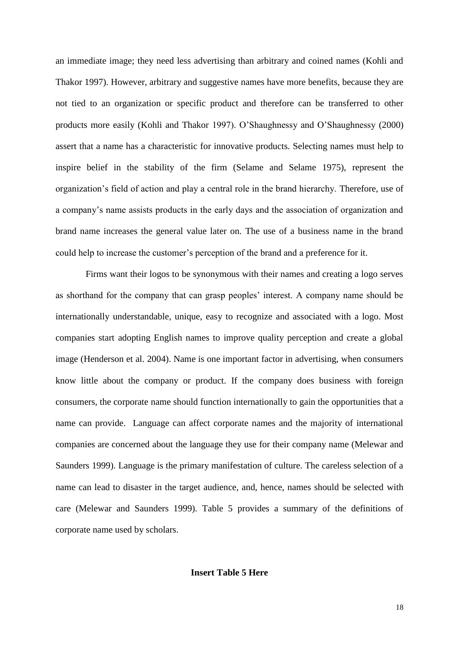an immediate image; they need less advertising than arbitrary and coined names (Kohli and Thakor 1997). However, arbitrary and suggestive names have more benefits, because they are not tied to an organization or specific product and therefore can be transferred to other products more easily (Kohli and Thakor 1997). O'Shaughnessy and O'Shaughnessy (2000) assert that a name has a characteristic for innovative products. Selecting names must help to inspire belief in the stability of the firm (Selame and Selame 1975), represent the organization's field of action and play a central role in the brand hierarchy. Therefore, use of a company's name assists products in the early days and the association of organization and brand name increases the general value later on. The use of a business name in the brand could help to increase the customer's perception of the brand and a preference for it.

Firms want their logos to be synonymous with their names and creating a logo serves as shorthand for the company that can grasp peoples' interest. A company name should be internationally understandable, unique, easy to recognize and associated with a logo. Most companies start adopting English names to improve quality perception and create a global image (Henderson et al. 2004). Name is one important factor in advertising, when consumers know little about the company or product. If the company does business with foreign consumers, the corporate name should function internationally to gain the opportunities that a name can provide. Language can affect corporate names and the majority of international companies are concerned about the language they use for their company name (Melewar and Saunders 1999). Language is the primary manifestation of culture. The careless selection of a name can lead to disaster in the target audience, and, hence, names should be selected with care (Melewar and Saunders 1999). Table 5 provides a summary of the definitions of corporate name used by scholars.

# **Insert Table 5 Here**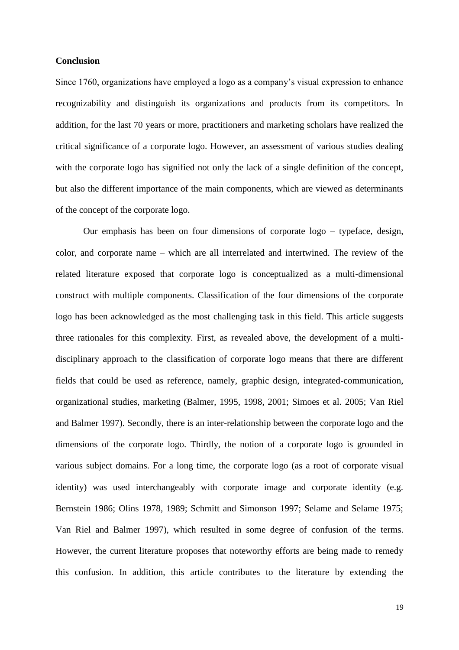#### **Conclusion**

Since 1760, organizations have employed a logo as a company's visual expression to enhance recognizability and distinguish its organizations and products from its competitors. In addition, for the last 70 years or more, practitioners and marketing scholars have realized the critical significance of a corporate logo. However, an assessment of various studies dealing with the corporate logo has signified not only the lack of a single definition of the concept, but also the different importance of the main components, which are viewed as determinants of the concept of the corporate logo.

Our emphasis has been on four dimensions of corporate logo – typeface, design, color, and corporate name – which are all interrelated and intertwined. The review of the related literature exposed that corporate logo is conceptualized as a multi-dimensional construct with multiple components. Classification of the four dimensions of the corporate logo has been acknowledged as the most challenging task in this field. This article suggests three rationales for this complexity. First, as revealed above, the development of a multidisciplinary approach to the classification of corporate logo means that there are different fields that could be used as reference, namely, graphic design, integrated-communication, organizational studies, marketing (Balmer, 1995, 1998, 2001; Simoes et al. 2005; Van Riel and Balmer 1997). Secondly, there is an inter-relationship between the corporate logo and the dimensions of the corporate logo. Thirdly, the notion of a corporate logo is grounded in various subject domains. For a long time, the corporate logo (as a root of corporate visual identity) was used interchangeably with corporate image and corporate identity (e.g. Bernstein 1986; Olins 1978, 1989; Schmitt and Simonson 1997; Selame and Selame 1975; Van Riel and Balmer 1997), which resulted in some degree of confusion of the terms. However, the current literature proposes that noteworthy efforts are being made to remedy this confusion. In addition, this article contributes to the literature by extending the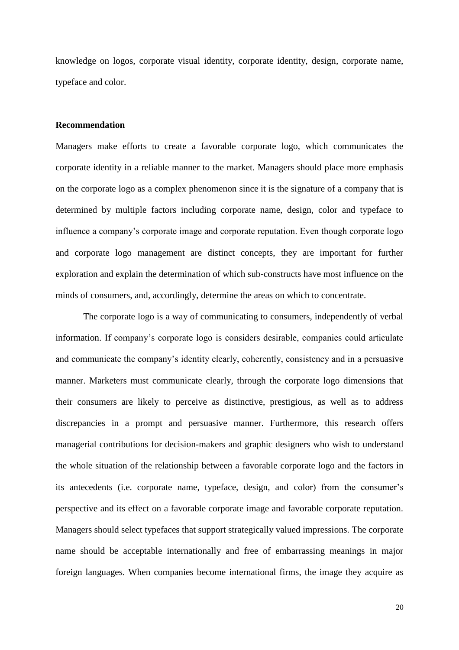knowledge on logos, corporate visual identity, corporate identity, design, corporate name, typeface and color.

#### **Recommendation**

Managers make efforts to create a favorable corporate logo, which communicates the corporate identity in a reliable manner to the market. Managers should place more emphasis on the corporate logo as a complex phenomenon since it is the signature of a company that is determined by multiple factors including corporate name, design, color and typeface to influence a company's corporate image and corporate reputation. Even though corporate logo and corporate logo management are distinct concepts, they are important for further exploration and explain the determination of which sub-constructs have most influence on the minds of consumers, and, accordingly, determine the areas on which to concentrate.

The corporate logo is a way of communicating to consumers, independently of verbal information. If company's corporate logo is considers desirable, companies could articulate and communicate the company's identity clearly, coherently, consistency and in a persuasive manner. Marketers must communicate clearly, through the corporate logo dimensions that their consumers are likely to perceive as distinctive, prestigious, as well as to address discrepancies in a prompt and persuasive manner. Furthermore, this research offers managerial contributions for decision-makers and graphic designers who wish to understand the whole situation of the relationship between a favorable corporate logo and the factors in its antecedents (i.e. corporate name, typeface, design, and color) from the consumer's perspective and its effect on a favorable corporate image and favorable corporate reputation. Managers should select typefaces that support strategically valued impressions. The corporate name should be acceptable internationally and free of embarrassing meanings in major foreign languages. When companies become international firms, the image they acquire as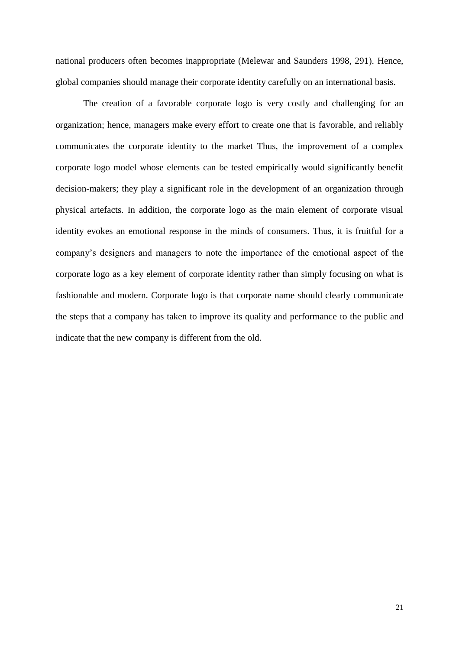national producers often becomes inappropriate (Melewar and Saunders 1998, 291). Hence, global companies should manage their corporate identity carefully on an international basis.

The creation of a favorable corporate logo is very costly and challenging for an organization; hence, managers make every effort to create one that is favorable, and reliably communicates the corporate identity to the market Thus, the improvement of a complex corporate logo model whose elements can be tested empirically would significantly benefit decision-makers; they play a significant role in the development of an organization through physical artefacts. In addition, the corporate logo as the main element of corporate visual identity evokes an emotional response in the minds of consumers. Thus, it is fruitful for a company's designers and managers to note the importance of the emotional aspect of the corporate logo as a key element of corporate identity rather than simply focusing on what is fashionable and modern. Corporate logo is that corporate name should clearly communicate the steps that a company has taken to improve its quality and performance to the public and indicate that the new company is different from the old.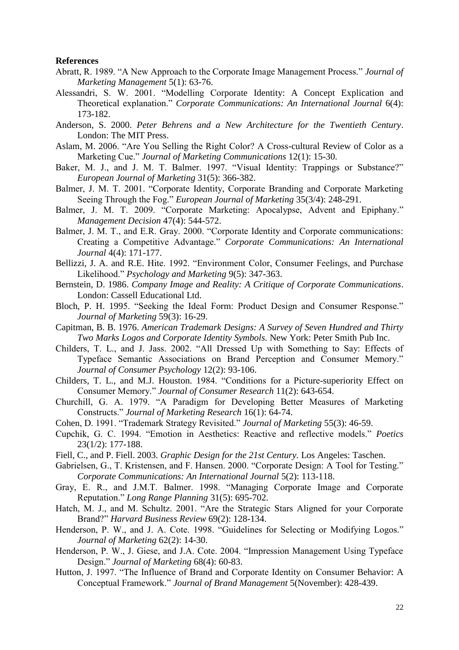#### **References**

- Abratt, R. 1989. "A New Approach to the Corporate Image Management Process." *Journal of Marketing Management* 5(1): 63-76.
- Alessandri, S. W. 2001. "Modelling Corporate Identity: A Concept Explication and Theoretical explanation." *Corporate Communications: An International Journal* 6(4): 173-182.
- Anderson, S. 2000. *Peter Behrens and a New Architecture for the Twentieth Century*. London: The MIT Press.
- Aslam, M. 2006. "Are You Selling the Right Color? A Cross-cultural Review of Color as a Marketing Cue." *Journal of Marketing Communications* 12(1): 15-30.
- Baker, M. J., and J. M. T. Balmer. 1997. "Visual Identity: Trappings or Substance?" *European Journal of Marketing* 31(5): 366-382.
- Balmer, J. M. T. 2001. "Corporate Identity, Corporate Branding and Corporate Marketing Seeing Through the Fog." *European Journal of Marketing* 35(3/4): 248-291.
- Balmer, J. M. T. 2009. "Corporate Marketing: Apocalypse, Advent and Epiphany." *Management Decision* 47(4): 544-572.
- Balmer, J. M. T., and E.R. Gray. 2000. "Corporate Identity and Corporate communications: Creating a Competitive Advantage." *Corporate Communications: An International Journal* 4(4): 171-177.
- Bellizzi, J. A. and R.E. Hite. 1992. "Environment Color, Consumer Feelings, and Purchase Likelihood." *Psychology and Marketing* 9(5): 347-363.
- Bernstein, D. 1986. *Company Image and Reality: A Critique of Corporate Communications*. London: Cassell Educational Ltd.
- Bloch, P. H. 1995. "Seeking the Ideal Form: Product Design and Consumer Response." *Journal of Marketing* 59(3): 16-29.
- Capitman, B. B. 1976. *American Trademark Designs: A Survey of Seven Hundred and Thirty Two Marks Logos and Corporate Identity Symbols.* New York: Peter Smith Pub Inc.
- Childers, T. L., and J. Jass. 2002. "All Dressed Up with Something to Say: Effects of Typeface Semantic Associations on Brand Perception and Consumer Memory." *Journal of Consumer Psychology* 12(2): 93-106.
- Childers, T. L., and M.J. Houston. 1984. "Conditions for a Picture-superiority Effect on Consumer Memory." *Journal of Consumer Research* 11(2): 643-654.
- Churchill, G. A. 1979. "A Paradigm for Developing Better Measures of Marketing Constructs." *Journal of Marketing Research* 16(1): 64-74.
- Cohen, D. 1991. "Trademark Strategy Revisited." *Journal of Marketing* 55(3): 46-59.
- Cupchik, G. C. 1994. "Emotion in Aesthetics: Reactive and reflective models." *Poetics* 23(1/2): 177-188.
- Fiell, C., and P. Fiell. 2003. *Graphic Design for the 21st Century.* Los Angeles: Taschen.
- Gabrielsen, G., T. Kristensen, and F. Hansen. 2000. "Corporate Design: A Tool for Testing." *Corporate Communications: An International Journal* 5(2): 113-118.
- Gray, E. R., and J.M.T. Balmer. 1998. "Managing Corporate Image and Corporate Reputation." *Long Range Planning* 31(5): 695-702.
- Hatch, M. J., and M. Schultz. 2001. "Are the Strategic Stars Aligned for your Corporate Brand?" *Harvard Business Review* 69(2): 128-134.
- Henderson, P. W., and J. A. Cote. 1998. "Guidelines for Selecting or Modifying Logos." *Journal of Marketing* 62(2): 14-30.
- Henderson, P. W., J. Giese, and J.A. Cote. 2004. "Impression Management Using Typeface Design." *Journal of Marketing* 68(4): 60-83.
- Hutton, J. 1997. "The Influence of Brand and Corporate Identity on Consumer Behavior: A Conceptual Framework." *Journal of Brand Management* 5(November): 428-439.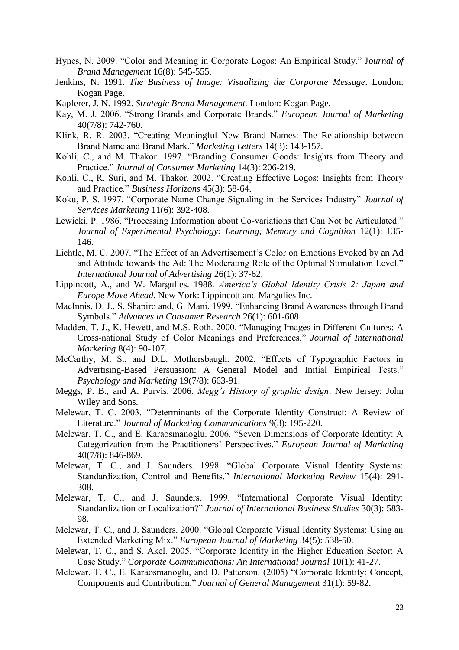- Hynes, N. 2009. "Color and Meaning in Corporate Logos: An Empirical Study." J*ournal of Brand Management* 16(8): 545-555.
- Jenkins, N. 1991. *The Business of Image: Visualizing the Corporate Message*. London: Kogan Page.
- Kapferer, J. N. 1992. *Strategic Brand Management.* London: Kogan Page.
- Kay, M. J. 2006. "Strong Brands and Corporate Brands." *European Journal of Marketing*  40(7/8): 742-760.
- Klink, R. R. 2003. "Creating Meaningful New Brand Names: The Relationship between Brand Name and Brand Mark." *Marketing Letters* 14(3): 143-157.
- Kohli, C., and M. Thakor. 1997. "Branding Consumer Goods: Insights from Theory and Practice." *Journal of Consumer Marketing* 14(3): 206-219.
- Kohli, C., R. Suri, and M. Thakor. 2002. "Creating Effective Logos: Insights from Theory and Practice." *Business Horizons* 45(3): 58-64.
- Koku, P. S. 1997. "Corporate Name Change Signaling in the Services Industry" *Journal of Services Marketing* 11(6): 392-408.
- Lewicki, P. 1986. "Processing Information about Co-variations that Can Not be Articulated." *Journal of Experimental Psychology: Learning, Memory and Cognition* 12(1): 135- 146.
- Lichtle, M. C. 2007. "The Effect of an Advertisement's Color on Emotions Evoked by an Ad and Attitude towards the Ad: The Moderating Role of the Optimal Stimulation Level." *International Journal of Advertising* 26(1): 37-62.
- Lippincott, A., and W. Margulies. 1988. *America's Global Identity Crisis 2: Japan and Europe Move Ahead.* New York: Lippincott and Margulies Inc.
- MacInnis, D. J., S. Shapiro and, G. Mani. 1999. "Enhancing Brand Awareness through Brand Symbols." *Advances in Consumer Research* 26(1): 601-608.
- Madden, T. J., K. Hewett, and M.S. Roth. 2000. "Managing Images in Different Cultures: A Cross-national Study of Color Meanings and Preferences." *Journal of International Marketing* 8(4): 90-107.
- McCarthy, M. S., and D.L. Mothersbaugh. 2002. "Effects of Typographic Factors in Advertising-Based Persuasion: A General Model and Initial Empirical Tests." *Psychology and Marketing* 19(7/8): 663-91.
- Meggs, P. B., and A. Purvis. 2006. *Megg's History of graphic design*. New Jersey: John Wiley and Sons.
- Melewar, T. C. 2003. "Determinants of the Corporate Identity Construct: A Review of Literature." *Journal of Marketing Communications* 9(3): 195-220.
- Melewar, T. C., and E. Karaosmanoglu. 2006. "Seven Dimensions of Corporate Identity: A Categorization from the Practitioners' Perspectives." *European Journal of Marketing* 40(7/8): 846-869.
- Melewar, T. C., and J. Saunders. 1998. "Global Corporate Visual Identity Systems: Standardization, Control and Benefits." *International Marketing Review* 15(4): 291- 308.
- Melewar, T. C., and J. Saunders. 1999. "International Corporate Visual Identity: Standardization or Localization?" *Journal of International Business Studies* 30(3): 583- 98.
- Melewar, T. C., and J. Saunders. 2000. "Global Corporate Visual Identity Systems: Using an Extended Marketing Mix." *European Journal of Marketing* 34(5): 538-50.
- Melewar, T. C., and S. Akel. 2005. "Corporate Identity in the Higher Education Sector: A Case Study." *Corporate Communications: An International Journal* 10(1): 41-27.
- Melewar, T. C., E. Karaosmanoglu, and D. Patterson. (2005) "Corporate Identity: Concept, Components and Contribution." *Journal of General Management* 31(1): 59-82.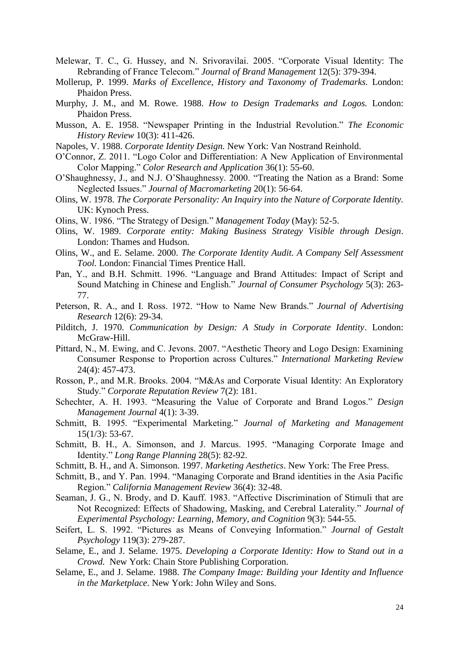- Melewar, T. C., G. Hussey, and N. Srivoravilai. 2005. "Corporate Visual Identity: The Rebranding of France Telecom." *Journal of Brand Management* 12(5): 379-394.
- Mollerup, P. 1999. *Marks of Excellence, History and Taxonomy of Trademarks.* London: Phaidon Press.
- Murphy, J. M., and M. Rowe. 1988. *How to Design Trademarks and Logos.* London: Phaidon Press.
- Musson, A. E. 1958. "Newspaper Printing in the Industrial Revolution." *The Economic History Review* 10(3): 411-426.
- Napoles, V. 1988. *Corporate Identity Design.* New York: Van Nostrand Reinhold.
- O'Connor, Z. 2011. "Logo Color and Differentiation: A New Application of Environmental Color Mapping." *Color Research and Application* 36(1): 55-60.
- O'Shaughnessy, J., and N.J. O'Shaughnessy. 2000. "Treating the Nation as a Brand: Some Neglected Issues." *Journal of Macromarketing* 20(1): 56-64.
- Olins, W. 1978. *The Corporate Personality: An Inquiry into the Nature of Corporate Identity.* UK: Kynoch Press.
- Olins, W. 1986. "The Strategy of Design." *Management Today* (May): 52-5.
- Olins, W. 1989. *Corporate entity: Making Business Strategy Visible through Design*. London: Thames and Hudson.
- Olins, W., and E. Selame. 2000. *The Corporate Identity Audit. A Company Self Assessment Tool.* London: Financial Times Prentice Hall.
- Pan, Y., and B.H. Schmitt. 1996. "Language and Brand Attitudes: Impact of Script and Sound Matching in Chinese and English." *Journal of Consumer Psychology* 5(3): 263- 77.
- Peterson, R. A., and I. Ross. 1972. "How to Name New Brands." *Journal of Advertising Research* 12(6): 29-34.
- Pilditch, J. 1970. *Communication by Design: A Study in Corporate Identity*. London: McGraw-Hill.
- Pittard, N., M. Ewing, and C. Jevons. 2007. "Aesthetic Theory and Logo Design: Examining Consumer Response to Proportion across Cultures." *International Marketing Review*  24(4): 457-473.
- Rosson, P., and M.R. Brooks. 2004. "M&As and Corporate Visual Identity: An Exploratory Study." *Corporate Reputation Review* 7(2): 181.
- Schechter, A. H. 1993. "Measuring the Value of Corporate and Brand Logos." *Design Management Journal* 4(1): 3-39.
- Schmitt, B. 1995. "Experimental Marketing." *Journal of Marketing and Management*   $15(1/3)$ : 53-67.
- Schmitt, B. H., A. Simonson, and J. Marcus. 1995. "Managing Corporate Image and Identity." *Long Range Planning* 28(5): 82-92.
- Schmitt, B. H., and A. Simonson. 1997. *Marketing Aesthetics*. New York: The Free Press.
- Schmitt, B., and Y. Pan. 1994. "Managing Corporate and Brand identities in the Asia Pacific Region." *California Management Review* 36(4): 32-48.
- Seaman, J. G., N. Brody, and D. Kauff. 1983. "Affective Discrimination of Stimuli that are Not Recognized: Effects of Shadowing, Masking, and Cerebral Laterality." *Journal of Experimental Psychology: Learning, Memory, and Cognition* 9(3): 544-55.
- Seifert, L. S. 1992. "Pictures as Means of Conveying Information." *Journal of Gestalt Psychology* 119(3): 279-287.
- Selame, E., and J. Selame. 1975. *Developing a Corporate Identity: How to Stand out in a Crowd.* New York: Chain Store Publishing Corporation.
- Selame, E., and J. Selame. 1988. *The Company Image: Building your Identity and Influence in the Marketplace*. New York: John Wiley and Sons.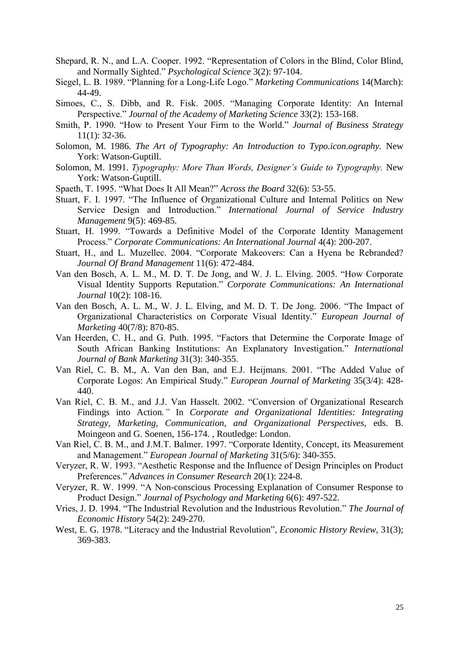- Shepard, R. N., and L.A. Cooper. 1992. "Representation of Colors in the Blind, Color Blind, and Normally Sighted." *Psychological Science* 3(2): 97-104.
- Siegel, L. B. 1989. "Planning for a Long-Life Logo." *Marketing Communications* 14(March): 44-49.
- Simoes, C., S. Dibb, and R. Fisk. 2005. "Managing Corporate Identity: An Internal Perspective." *Journal of the Academy of Marketing Science* 33(2): 153-168.
- Smith, P. 1990. "How to Present Your Firm to the World." *Journal of Business Strategy*  11(1): 32-36.
- Solomon, M. 1986. *The Art of Typography: An Introduction to Typo.icon.ography.* New York: Watson-Guptill.
- Solomon, M. 1991. *Typography: More Than Words, Designer's Guide to Typography.* New York: Watson-Guptill.
- Spaeth, T. 1995. "What Does It All Mean?" *Across the Board* 32(6): 53-55.
- Stuart, F. I. 1997. "The Influence of Organizational Culture and Internal Politics on New Service Design and Introduction." *International Journal of Service Industry Management* 9(5): 469-85.
- Stuart, H. 1999. "Towards a Definitive Model of the Corporate Identity Management Process." *Corporate Communications: An International Journal* 4(4): 200-207.
- Stuart, H., and L. Muzellec. 2004. "Corporate Makeovers: Can a Hyena be Rebranded? *Journal Of Brand Management* 11(6): 472-484.
- Van den Bosch, A. L. M., M. D. T. De Jong, and W. J. L. Elving. 2005. "How Corporate Visual Identity Supports Reputation." *Corporate Communications: An International Journal* 10(2): 108-16.
- Van den Bosch, A. L. M., W. J. L. Elving, and M. D. T. De Jong. 2006. "The Impact of Organizational Characteristics on Corporate Visual Identity." *European Journal of Marketing* 40(7/8): 870-85.
- Van Heerden, C. H., and G. Puth. 1995. "Factors that Determine the Corporate Image of South African Banking Institutions: An Explanatory Investigation." *International Journal of Bank Marketing* 31(3): 340-355.
- Van Riel, C. B. M., A. Van den Ban, and E.J. Heijmans. 2001. "The Added Value of Corporate Logos: An Empirical Study." *European Journal of Marketing* 35(3/4): 428- 440.
- Van Riel, C. B. M., and J.J. Van Hasselt. 2002. "Conversion of Organizational Research Findings into Action*."* In *Corporate and Organizational Identities: Integrating Strategy, Marketing, Communication, and Organizational Perspectives,* eds. B. Moingeon and G. Soenen, 156-174. , Routledge: London.
- Van Riel, C. B. M., and J.M.T. Balmer. 1997. "Corporate Identity, Concept, its Measurement and Management." *European Journal of Marketing* 31(5/6): 340-355.
- Veryzer, R. W. 1993. "Aesthetic Response and the Influence of Design Principles on Product Preferences." *Advances in Consumer Research* 20(1): 224-8.
- Veryzer, R. W. 1999. "A Non-conscious Processing Explanation of Consumer Response to Product Design." *Journal of Psychology and Marketing* 6(6): 497-522.
- Vries, J. D. 1994. "The Industrial Revolution and the Industrious Revolution." *The Journal of Economic History* 54(2): 249-270.
- West, E. G. 1978. "Literacy and the Industrial Revolution", *Economic History Review,* 31(3); 369-383.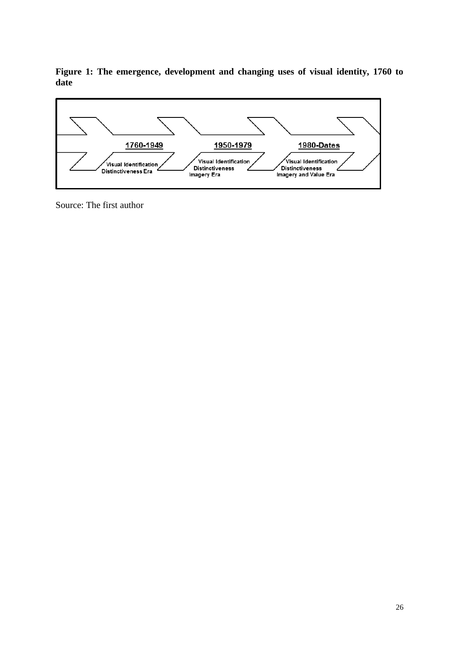**Figure 1: The emergence, development and changing uses of visual identity, 1760 to date** 



Source: The first author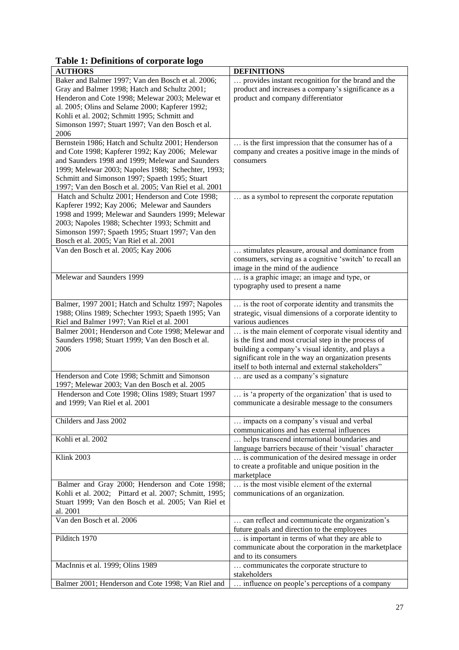**Table 1: Definitions of corporate logo** 

| ruole 1. Benningono or corporum logo<br><b>AUTHORS</b>   | <b>DEFINITIONS</b>                                      |
|----------------------------------------------------------|---------------------------------------------------------|
| Baker and Balmer 1997; Van den Bosch et al. 2006;        | provides instant recognition for the brand and the      |
| Gray and Balmer 1998; Hatch and Schultz 2001;            | product and increases a company's significance as a     |
| Henderon and Cote 1998; Melewar 2003; Melewar et         | product and company differentiator                      |
| al. 2005; Olins and Selame 2000; Kapferer 1992;          |                                                         |
| Kohli et al. 2002; Schmitt 1995; Schmitt and             |                                                         |
|                                                          |                                                         |
| Simonson 1997; Stuart 1997; Van den Bosch et al.<br>2006 |                                                         |
|                                                          |                                                         |
| Bernstein 1986; Hatch and Schultz 2001; Henderson        | is the first impression that the consumer has of a      |
| and Cote 1998; Kapferer 1992; Kay 2006; Melewar          | company and creates a positive image in the minds of    |
| and Saunders 1998 and 1999; Melewar and Saunders         | consumers                                               |
| 1999; Melewar 2003; Napoles 1988; Schechter, 1993;       |                                                         |
| Schmitt and Simonson 1997; Spaeth 1995; Stuart           |                                                         |
| 1997; Van den Bosch et al. 2005; Van Riel et al. 2001    |                                                         |
| Hatch and Schultz 2001; Henderson and Cote 1998;         | as a symbol to represent the corporate reputation       |
| Kapferer 1992; Kay 2006; Melewar and Saunders            |                                                         |
| 1998 and 1999; Melewar and Saunders 1999; Melewar        |                                                         |
| 2003; Napoles 1988; Schechter 1993; Schmitt and          |                                                         |
| Simonson 1997; Spaeth 1995; Stuart 1997; Van den         |                                                         |
| Bosch et al. 2005; Van Riel et al. 2001                  |                                                         |
| Van den Bosch et al. 2005; Kay 2006                      | stimulates pleasure, arousal and dominance from         |
|                                                          | consumers, serving as a cognitive 'switch' to recall an |
|                                                          | image in the mind of the audience                       |
| Melewar and Saunders 1999                                | is a graphic image; an image and type, or               |
|                                                          | typography used to present a name                       |
|                                                          |                                                         |
| Balmer, 1997 2001; Hatch and Schultz 1997; Napoles       | is the root of corporate identity and transmits the     |
| 1988; Olins 1989; Schechter 1993; Spaeth 1995; Van       | strategic, visual dimensions of a corporate identity to |
| Riel and Balmer 1997; Van Riel et al. 2001               | various audiences                                       |
| Balmer 2001; Henderson and Cote 1998; Melewar and        | is the main element of corporate visual identity and    |
| Saunders 1998; Stuart 1999; Van den Bosch et al.         | is the first and most crucial step in the process of    |
| 2006                                                     | building a company's visual identity, and plays a       |
|                                                          | significant role in the way an organization presents    |
|                                                          | itself to both internal and external stakeholders"      |
| Henderson and Cote 1998; Schmitt and Simonson            | are used as a company's signature.                      |
| 1997; Melewar 2003; Van den Bosch et al. 2005            |                                                         |
| Henderson and Cote 1998; Olins 1989; Stuart 1997         | is 'a property of the organization' that is used to     |
| and 1999; Van Riel et al. 2001                           | communicate a desirable message to the consumers        |
|                                                          |                                                         |
| Childers and Jass 2002                                   | impacts on a company's visual and verbal                |
|                                                          | communications and has external influences              |
| Kohli et al. 2002                                        | helps transcend international boundaries and            |
|                                                          | language barriers because of their 'visual' character   |
| Klink 2003                                               | is communication of the desired message in order        |
|                                                          | to create a profitable and unique position in the       |
|                                                          | marketplace                                             |
| Balmer and Gray 2000; Henderson and Cote 1998;           | is the most visible element of the external             |
| Kohli et al. 2002; Pittard et al. 2007; Schmitt, 1995;   | communications of an organization.                      |
| Stuart 1999; Van den Bosch et al. 2005; Van Riel et      |                                                         |
| al. 2001                                                 |                                                         |
| Van den Bosch et al. 2006                                | can reflect and communicate the organization's          |
|                                                          | future goals and direction to the employees             |
| Pilditch 1970                                            | is important in terms of what they are able to          |
|                                                          | communicate about the corporation in the marketplace    |
|                                                          | and to its consumers                                    |
| MacInnis et al. 1999; Olins 1989                         | communicates the corporate structure to                 |
|                                                          | stakeholders                                            |
| Balmer 2001; Henderson and Cote 1998; Van Riel and       | influence on people's perceptions of a company          |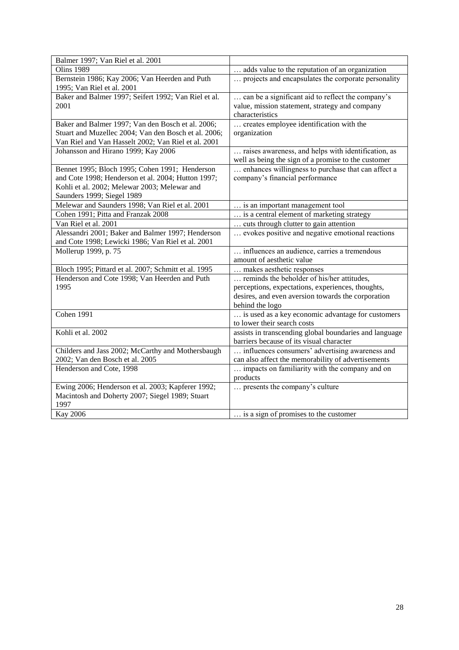| Balmer 1997; Van Riel et al. 2001                    |                                                        |
|------------------------------------------------------|--------------------------------------------------------|
| <b>Olins 1989</b>                                    | adds value to the reputation of an organization        |
| Bernstein 1986; Kay 2006; Van Heerden and Puth       | projects and encapsulates the corporate personality    |
| 1995; Van Riel et al. 2001                           |                                                        |
| Baker and Balmer 1997; Seifert 1992; Van Riel et al. | can be a significant aid to reflect the company's      |
| 2001                                                 | value, mission statement, strategy and company         |
|                                                      | characteristics                                        |
| Baker and Balmer 1997; Van den Bosch et al. 2006;    | creates employee identification with the               |
| Stuart and Muzellec 2004; Van den Bosch et al. 2006; | organization                                           |
| Van Riel and Van Hasselt 2002; Van Riel et al. 2001  |                                                        |
| Johansson and Hirano 1999; Kay 2006                  | raises awareness, and helps with identification, as    |
|                                                      | well as being the sign of a promise to the customer    |
| Bennet 1995; Bloch 1995; Cohen 1991; Henderson       | enhances willingness to purchase that can affect a     |
| and Cote 1998; Henderson et al. 2004; Hutton 1997;   | company's financial performance                        |
| Kohli et al. 2002; Melewar 2003; Melewar and         |                                                        |
| Saunders 1999; Siegel 1989                           |                                                        |
| Melewar and Saunders 1998; Van Riel et al. 2001      | is an important management tool                        |
| Cohen 1991; Pitta and Franzak 2008                   | is a central element of marketing strategy             |
| Van Riel et al. 2001                                 | cuts through clutter to gain attention                 |
| Alessandri 2001; Baker and Balmer 1997; Henderson    | evokes positive and negative emotional reactions       |
| and Cote 1998; Lewicki 1986; Van Riel et al. 2001    |                                                        |
| Mollerup 1999, p. 75                                 | influences an audience, carries a tremendous           |
|                                                      | amount of aesthetic value                              |
| Bloch 1995; Pittard et al. 2007; Schmitt et al. 1995 | makes aesthetic responses                              |
| Henderson and Cote 1998; Van Heerden and Puth        | reminds the beholder of his/her attitudes,             |
| 1995                                                 | perceptions, expectations, experiences, thoughts,      |
|                                                      | desires, and even aversion towards the corporation     |
|                                                      | behind the logo                                        |
| Cohen 1991                                           | is used as a key economic advantage for customers      |
|                                                      | to lower their search costs                            |
| Kohli et al. 2002                                    | assists in transcending global boundaries and language |
|                                                      | barriers because of its visual character               |
| Childers and Jass 2002; McCarthy and Mothersbaugh    | influences consumers' advertising awareness and        |
| 2002; Van den Bosch et al. 2005                      | can also affect the memorability of advertisements     |
| Henderson and Cote, 1998                             | impacts on familiarity with the company and on         |
|                                                      | products                                               |
| Ewing 2006; Henderson et al. 2003; Kapferer 1992;    | presents the company's culture                         |
| Macintosh and Doherty 2007; Siegel 1989; Stuart      |                                                        |
| 1997                                                 |                                                        |
| <b>Kay 2006</b>                                      | is a sign of promises to the customer                  |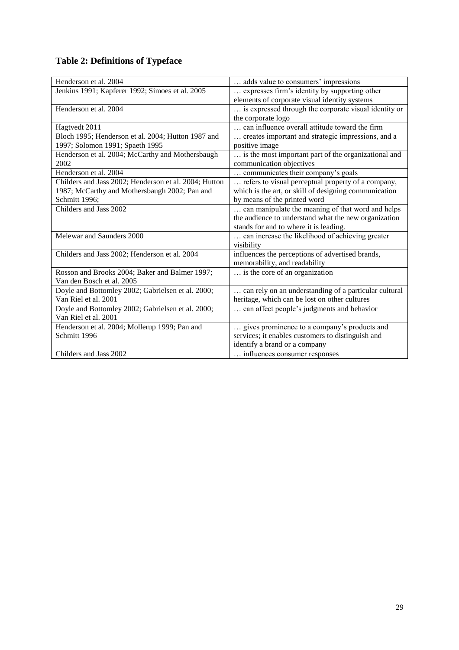# **Table 2: Definitions of Typeface**

| Henderson et al. 2004                                 | adds value to consumers' impressions                  |
|-------------------------------------------------------|-------------------------------------------------------|
| Jenkins 1991; Kapferer 1992; Simoes et al. 2005       | expresses firm's identity by supporting other         |
|                                                       | elements of corporate visual identity systems         |
| Henderson et al. 2004                                 | is expressed through the corporate visual identity or |
|                                                       | the corporate logo                                    |
| Hagtvedt 2011                                         | can influence overall attitude toward the firm        |
| Bloch 1995; Henderson et al. 2004; Hutton 1987 and    | creates important and strategic impressions, and a    |
| 1997; Solomon 1991; Spaeth 1995                       | positive image                                        |
| Henderson et al. 2004; McCarthy and Mothersbaugh      | is the most important part of the organizational and  |
| 2002                                                  | communication objectives                              |
| Henderson et al. 2004                                 | communicates their company's goals                    |
| Childers and Jass 2002; Henderson et al. 2004; Hutton | refers to visual perceptual property of a company,    |
| 1987; McCarthy and Mothersbaugh 2002; Pan and         | which is the art, or skill of designing communication |
| Schmitt 1996;                                         | by means of the printed word                          |
| Childers and Jass 2002                                | can manipulate the meaning of that word and helps     |
|                                                       | the audience to understand what the new organization  |
|                                                       | stands for and to where it is leading.                |
| Melewar and Saunders 2000                             | can increase the likelihood of achieving greater      |
|                                                       | visibility                                            |
| Childers and Jass 2002; Henderson et al. 2004         | influences the perceptions of advertised brands,      |
|                                                       | memorability, and readability                         |
| Rosson and Brooks 2004; Baker and Balmer 1997;        | is the core of an organization                        |
| Van den Bosch et al. 2005                             |                                                       |
| Doyle and Bottomley 2002; Gabrielsen et al. 2000;     | can rely on an understanding of a particular cultural |
| Van Riel et al. 2001                                  | heritage, which can be lost on other cultures         |
| Doyle and Bottomley 2002; Gabrielsen et al. 2000;     | can affect people's judgments and behavior            |
| Van Riel et al. 2001                                  |                                                       |
| Henderson et al. 2004; Mollerup 1999; Pan and         | gives prominence to a company's products and          |
| Schmitt 1996                                          | services; it enables customers to distinguish and     |
|                                                       | identify a brand or a company                         |
| Childers and Jass 2002                                | influences consumer responses                         |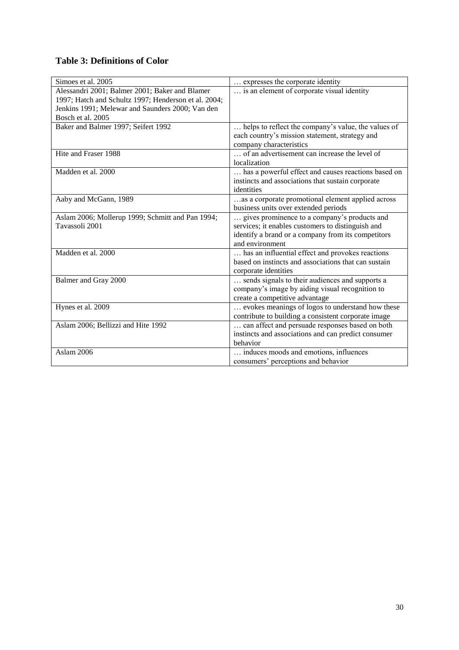# **Table 3: Definitions of Color**

| Simoes et al. 2005                                   | expresses the corporate identity                     |
|------------------------------------------------------|------------------------------------------------------|
| Alessandri 2001; Balmer 2001; Baker and Blamer       | is an element of corporate visual identity           |
| 1997; Hatch and Schultz 1997; Henderson et al. 2004; |                                                      |
| Jenkins 1991; Melewar and Saunders 2000; Van den     |                                                      |
| Bosch et al. 2005                                    |                                                      |
| Baker and Balmer 1997; Seifert 1992                  | helps to reflect the company's value, the values of  |
|                                                      | each country's mission statement, strategy and       |
|                                                      | company characteristics                              |
| Hite and Fraser 1988                                 | of an advertisement can increase the level of        |
|                                                      | localization                                         |
| Madden et al. 2000                                   | has a powerful effect and causes reactions based on  |
|                                                      | instincts and associations that sustain corporate    |
|                                                      | identities                                           |
| Aaby and McGann, 1989                                | as a corporate promotional element applied across    |
|                                                      | business units over extended periods                 |
| Aslam 2006; Mollerup 1999; Schmitt and Pan 1994;     | gives prominence to a company's products and         |
| Tavassoli 2001                                       | services; it enables customers to distinguish and    |
|                                                      | identify a brand or a company from its competitors   |
|                                                      | and environment                                      |
| Madden et al. 2000                                   | has an influential effect and provokes reactions     |
|                                                      | based on instincts and associations that can sustain |
|                                                      | corporate identities                                 |
| Balmer and Gray 2000                                 | sends signals to their audiences and supports a      |
|                                                      | company's image by aiding visual recognition to      |
|                                                      | create a competitive advantage                       |
| Hynes et al. 2009                                    | evokes meanings of logos to understand how these     |
|                                                      | contribute to building a consistent corporate image  |
| Aslam 2006; Bellizzi and Hite 1992                   | can affect and persuade responses based on both      |
|                                                      | instincts and associations and can predict consumer  |
|                                                      | behavior                                             |
| Aslam 2006                                           | induces moods and emotions, influences               |
|                                                      | consumers' perceptions and behavior                  |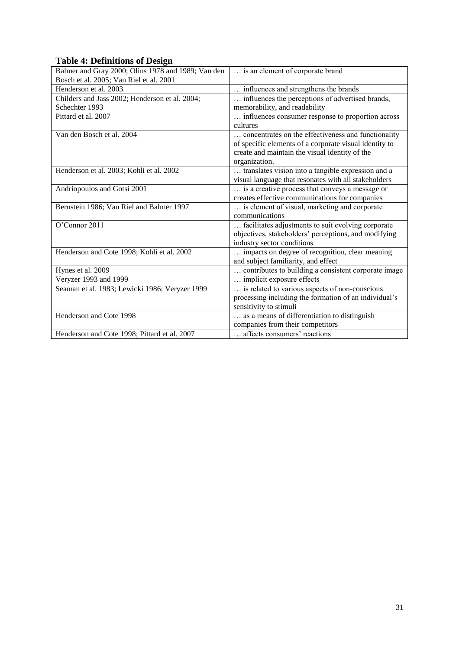# **Table 4: Definitions of Design**

| $\mathbf{\Sigma}$<br>Balmer and Gray 2000; Olins 1978 and 1989; Van den | is an element of corporate brand                       |
|-------------------------------------------------------------------------|--------------------------------------------------------|
| Bosch et al. 2005; Van Riel et al. 2001                                 |                                                        |
| Henderson et al. 2003                                                   | influences and strengthens the brands                  |
| Childers and Jass 2002; Henderson et al. 2004;                          | influences the perceptions of advertised brands,       |
| Schechter 1993                                                          | memorability, and readability                          |
| Pittard et al. 2007                                                     | influences consumer response to proportion across      |
|                                                                         | cultures                                               |
| Van den Bosch et al. 2004                                               | concentrates on the effectiveness and functionality    |
|                                                                         | of specific elements of a corporate visual identity to |
|                                                                         | create and maintain the visual identity of the         |
|                                                                         | organization.                                          |
| Henderson et al. 2003; Kohli et al. 2002                                | translates vision into a tangible expression and a     |
|                                                                         | visual language that resonates with all stakeholders   |
| Andriopoulos and Gotsi 2001                                             | is a creative process that conveys a message or        |
|                                                                         | creates effective communications for companies         |
| Bernstein 1986; Van Riel and Balmer 1997                                | is element of visual, marketing and corporate          |
|                                                                         | communications                                         |
| O'Connor 2011                                                           | facilitates adjustments to suit evolving corporate     |
|                                                                         | objectives, stakeholders' perceptions, and modifying   |
|                                                                         | industry sector conditions                             |
| Henderson and Cote 1998; Kohli et al. 2002                              | impacts on degree of recognition, clear meaning        |
|                                                                         | and subject familiarity, and effect                    |
| Hynes et al. 2009                                                       | contributes to building a consistent corporate image   |
| Veryzer 1993 and 1999                                                   | implicit exposure effects                              |
| Seaman et al. 1983; Lewicki 1986; Veryzer 1999                          | is related to various aspects of non-conscious         |
|                                                                         | processing including the formation of an individual's  |
|                                                                         | sensitivity to stimuli                                 |
| Henderson and Cote 1998                                                 | as a means of differentiation to distinguish           |
|                                                                         | companies from their competitors                       |
| Henderson and Cote 1998; Pittard et al. 2007                            | affects consumers' reactions                           |